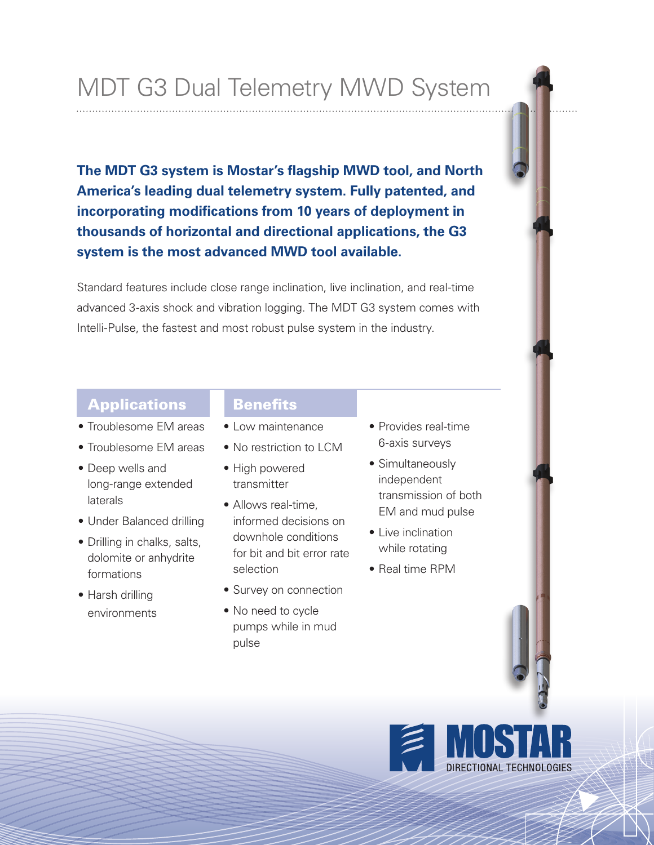# MDT G3 Dual Telemetry MWD System

**The MDT G3 system is Mostar's flagship MWD tool, and North America's leading dual telemetry system. Fully patented, and incorporating modifications from 10 years of deployment in thousands of horizontal and directional applications, the G3 system is the most advanced MWD tool available.** 

Standard features include close range inclination, live inclination, and real-time advanced 3-axis shock and vibration logging. The MDT G3 system comes with Intelli-Pulse, the fastest and most robust pulse system in the industry.

#### Applications

- Troublesome EM areas
- Troublesome EM areas
- Deep wells and long-range extended laterals
- Under Balanced drilling
- Drilling in chalks, salts, dolomite or anhydrite formations
- Harsh drilling environments

#### **Benefits**

- Low maintenance
- No restriction to LCM
- High powered transmitter
- Allows real-time, informed decisions on downhole conditions for bit and bit error rate selection
- Survey on connection
- No need to cycle pumps while in mud pulse
- Provides real-time 6-axis surveys
- Simultaneously independent transmission of both EM and mud pulse
- Live inclination while rotating
- Real time RPM